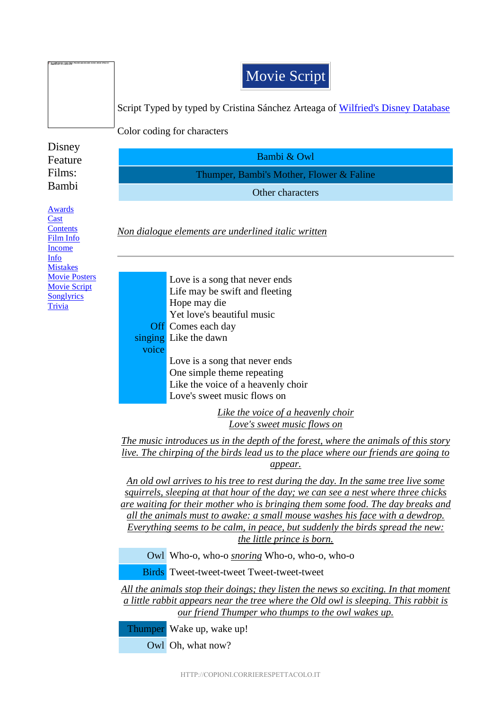Movie Script

Script Typed by typed by Cristina Sánchez Arteaga of [Wilfried's Disney Database](http://aubry.citeglobe.com/pages/en/index.html)

Color coding for characters

Disney Feature Films: Bambi

[Awards](file:///C:/Users/facip/Documenti/copioni/htm/awards.html) [Cast](file:///C:/Users/facip/Documenti/copioni/htm/cast.html) **[Contents](file:///C:/Users/facip/Documenti/copioni/htm/index.html)** [Film Info](file:///C:/Users/facip/Documenti/copioni/htm/filminfo.html) [Income](file:///C:/Users/facip/Documenti/copioni/htm/income.html) [Info](file:///C:/Users/facip/Documenti/copioni/htm/info.html) **[Mistakes](file:///C:/Users/facip/Documenti/copioni/htm/mistakes.html)** [Movie Posters](file:///C:/Users/facip/Documenti/copioni/htm/BambiPosters.html) [Movie Script](file:///C:/Users/facip/Documenti/copioni/htm/BambiScript.html) **[Songlyrics](file:///C:/Users/facip/Documenti/copioni/htm/songlyrics.html)** [Trivia](file:///C:/Users/facip/Documenti/copioni/htm/trivia.html)

Bambi & Owl Thumper, Bambi's Mother, Flower & Faline

Other characters

*Non dialogue elements are underlined italic written*

Off Comes each day singing Like the dawn voice Love is a song that never ends Life may be swift and fleeting Hope may die Yet love's beautiful music Love is a song that never ends One simple theme repeating Like the voice of a heavenly choir Love's sweet music flows on

> *Like the voice of a heavenly choir Love's sweet music flows on*

*The music introduces us in the depth of the forest, where the animals of this story live. The chirping of the birds lead us to the place where our friends are going to appear.*

*An old owl arrives to his tree to rest during the day. In the same tree live some squirrels, sleeping at that hour of the day; we can see a nest where three chicks are waiting for their mother who is bringing them some food. The day breaks and all the animals must to awake: a small mouse washes his face with a dewdrop. Everything seems to be calm, in peace, but suddenly the birds spread the new: the little prince is born.*

Owl Who-o, who-o *snoring* Who-o, who-o, who-o

Birds Tweet-tweet-tweet Tweet-tweet-tweet

*All the animals stop their doings; they listen the news so exciting. In that moment a little rabbit appears near the tree where the Old owl is sleeping. This rabbit is our friend Thumper who thumps to the owl wakes up.*

Thumper Wake up, wake up!

Owl Oh, what now?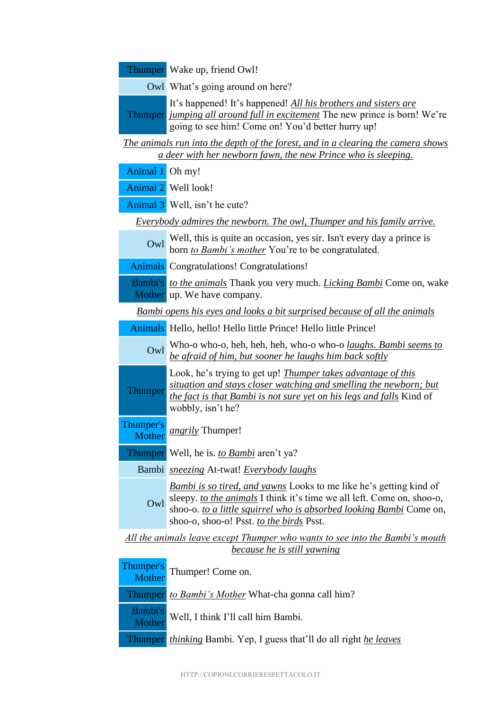| Thumper Wake up, friend Owl! |  |
|------------------------------|--|
|                              |  |

Owl What's going around on here?

Thumper *jumping all around full in excitement* The new prince is born! We're It's happened! It's happened! *All his brothers and sisters are*  going to see him! Come on! You'd better hurry up!

*The animals run into the depth of the forest, and in a clearing the camera shows a deer with her newborn fawn, the new Prince who is sleeping.*

Animal 1 Oh my!

Animal 2 Well look!

Animal 3 Well, isn't he cute?

*Everybody admires the newborn. The owl, Thumper and his family arrive.*

Owl Well, this is quite an occasion, yes sir. Isn't every day a prince is born *to Bambi's mother* You're to be congratulated.

Animals Congratulations! Congratulations!

Bambi's *to the animals* Thank you very much. *Licking Bambi* Come on, wake Mother up. We have company.

*Bambi opens his eyes and looks a bit surprised because of all the animals*

Animals Hello, hello! Hello little Prince! Hello little Prince!

Owl Who-o who-o, heh, heh, heh, who-o who-o *laughs. Bambi seems to be afraid of him, but sooner he laughs him back softly*

**Thumper** Look, he's trying to get up! *Thumper takes advantage of this situation and stays closer watching and smelling the newborn; but the fact is that Bambi is not sure yet on his legs and falls* Kind of wobbly, isn't he?

Thumper's Mother *angrily* Thumper!

Thumper Well, he is. *to Bambi* aren't ya?

Bambi *sneezing* At-twat! *Everybody laughs*

Owl sleepy. *to the animals* I think it's time we all left. Come on, shoo-o, *Bambi is so tired, and yawns* Looks to me like he's getting kind of shoo-o. *to a little squirrel who is absorbed looking Bambi* Come on, shoo-o, shoo-o! Psst. *to the birds* Psst.

*All the animals leave except Thumper who wants to see into the Bambi's mouth because he is still yawning*

| Thumper's<br>Mother Thumper! Come on.                                             |
|-----------------------------------------------------------------------------------|
| Thumper to Bambi's Mother What-cha gonna call him?                                |
| Bambi's<br>Mother Well, I think I'll call him Bambi.                              |
| Thumper <i>thinking</i> Bambi. Yep, I guess that'll do all right <i>he leaves</i> |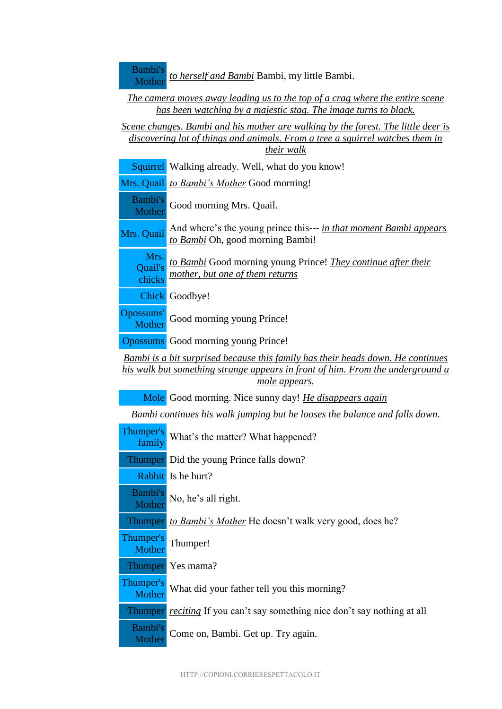Bambi's Mother *to herself and Bambi* Bambi, my little Bambi.

## *The camera moves away leading us to the top of a crag where the entire scene has been watching by a majestic stag. The image turns to black.*

*Scene changes. Bambi and his mother are walking by the forest. The little deer is discovering lot of things and animals. From a tree a squirrel watches them in their walk*

Squirrel Walking already. Well, what do you know! Mrs. Quail *to Bambi's Mother* Good morning! Bambi's Mother Good morning Mrs. Quail. Mrs. Quail And where's the young prince this--- *in that moment Bambi appears to Bambi* Oh, good morning Bambi! Mrs. Quail's chicks *to Bambi* Good morning young Prince! *They continue after their mother, but one of them returns* Chick Goodbye! Opossums' Mother Good morning young Prince! Opossums Good morning young Prince! *Bambi is a bit surprised because this family has their heads down. He continues his walk but something strange appears in front of him. From the underground a mole appears.* Mole Good morning. Nice sunny day! *He disappears again Bambi continues his walk jumping but he looses the balance and falls down.* Thumper's family What's the matter? What happened? Thumper Did the young Prince falls down? Rabbit Is he hurt? Bambi's  $\frac{\text{Dathot}}{\text{Mother}}$  No, he's all right. Thumper *to Bambi's Mother* He doesn't walk very good, does he? Thumper's Mother Thumper! Thumper Yes mama? Thumper's Mother What did your father tell you this morning? Thumper *reciting* If you can't say something nice don't say nothing at all Bambi's Mother Come on, Bambi. Get up. Try again.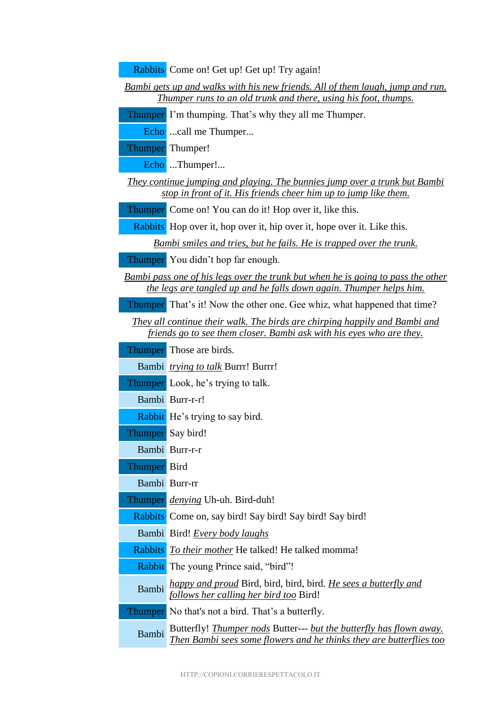Rabbits Come on! Get up! Get up! Try again!

- *Bambi gets up and walks with his new friends. All of them laugh, jump and run. Thumper runs to an old trunk and there, using his foot, thumps.*
	- Thumper I'm thumping. That's why they all me Thumper.
	- Echo ...call me Thumper...
	- Thumper Thumper!
		- Echo ...Thumper!...

*They continue jumping and playing. The bunnies jump over a trunk but Bambi stop in front of it. His friends cheer him up to jump like them.*

- Thumper Come on! You can do it! Hop over it, like this.
- Rabbits Hop over it, hop over it, hip over it, hope over it. Like this.

*Bambi smiles and tries, but he fails. He is trapped over the trunk.*

Thumper You didn't hop far enough.

*Bambi pass one of his legs over the trunk but when he is going to pass the other the legs are tangled up and he falls down again. Thumper helps him.*

Thumper That's it! Now the other one. Gee whiz, what happened that time?

*They all continue their walk. The birds are chirping happily and Bambi and friends go to see them closer. Bambi ask with his eyes who are they.*

- Thumper Those are birds.
	- Bambi *trying to talk* Burrr! Burrr!
- Thumper Look, he's trying to talk.
- Bambi Burr-r-r!
- Rabbit He's trying to say bird.
- Thumper Say bird!
	- Bambi Burr-r-r
- Thumper Bird
- Bambi Burr-rr
- Thumper *denying* Uh-uh. Bird-duh!
- Rabbits Come on, say bird! Say bird! Say bird! Say bird!
- Bambi Bird! *Every body laughs*
- Rabbits *To their mother* He talked! He talked momma!
- Rabbit The young Prince said, "bird"!
- Bambi *happy and proud* Bird, bird, bird, bird. *He sees a butterfly and follows her calling her bird too* Bird!
- Thumper No that's not a bird. That's a butterfly.
- Bambi Butterfly! *Thumper nods* Butter--- *but the butterfly has flown away. Then Bambi sees some flowers and he thinks they are butterflies too*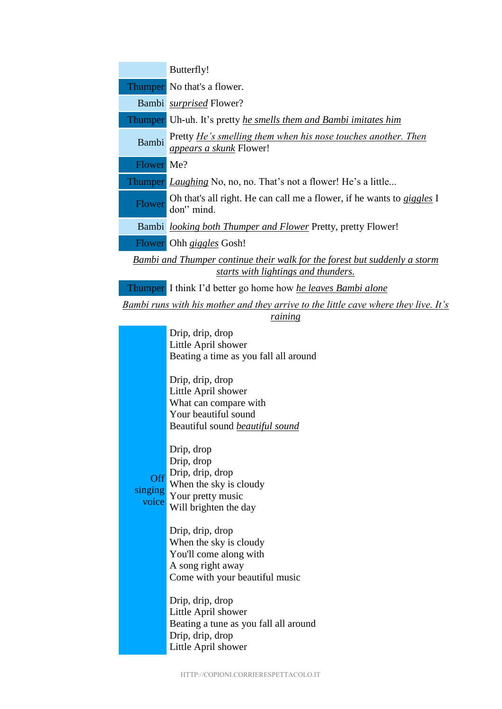|                         | Butterfly!                                                                                                              |
|-------------------------|-------------------------------------------------------------------------------------------------------------------------|
|                         | Thumper No that's a flower.                                                                                             |
|                         | Bambi <i>surprised</i> Flower?                                                                                          |
|                         | <b>Thumper</b> Uh-uh. It's pretty <i>he smells them and Bambi imitates him</i>                                          |
| Bambi                   | Pretty He's smelling them when his nose touches another. Then<br><i>appears a skunk</i> Flower!                         |
| Flower Me?              |                                                                                                                         |
|                         | Thumper <i>Laughing</i> No, no, no. That's not a flower! He's a little                                                  |
| Flower                  | Oh that's all right. He can call me a flower, if he wants to giggles I<br>don" mind.                                    |
|                         | Bambi <i>looking both Thumper and Flower</i> Pretty, pretty Flower!                                                     |
|                         | Flower Ohh giggles Gosh!                                                                                                |
|                         | <b>Bambi and Thumper continue their walk for the forest but suddenly a storm</b><br>starts with lightings and thunders. |
|                         | Thumper I think I'd better go home how he leaves Bambi alone                                                            |
|                         | Bambi runs with his mother and they arrive to the little cave where they live. It's                                     |
|                         | <i>raining</i>                                                                                                          |
|                         | Drip, drip, drop                                                                                                        |
|                         | Little April shower<br>Beating a time as you fall all around                                                            |
|                         |                                                                                                                         |
|                         | Drip, drip, drop<br>Little April shower                                                                                 |
|                         | What can compare with                                                                                                   |
|                         | Your beautiful sound                                                                                                    |
|                         | Beautiful sound <i>beautiful sound</i>                                                                                  |
| Off<br>singing<br>voice | Drip, drop<br>Drip, drop<br>Drip, drip, drop<br>When the sky is cloudy<br>Your pretty music<br>Will brighten the day    |
|                         | Drip, drip, drop<br>When the sky is cloudy<br>You'll come along with                                                    |

You'll come along with A song right away Come with your beautiful music

Drip, drip, drop Little April shower Beating a tune as you fall all around Drip, drip, drop Little April shower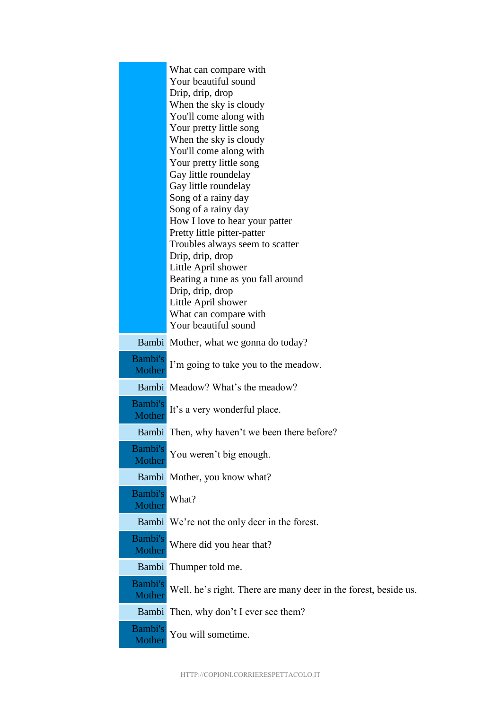|                   | What can compare with                                           |
|-------------------|-----------------------------------------------------------------|
|                   | Your beautiful sound                                            |
|                   | Drip, drip, drop                                                |
|                   | When the sky is cloudy<br>You'll come along with                |
|                   | Your pretty little song                                         |
|                   | When the sky is cloudy                                          |
|                   | You'll come along with                                          |
|                   | Your pretty little song                                         |
|                   | Gay little roundelay                                            |
|                   | Gay little roundelay                                            |
|                   | Song of a rainy day                                             |
|                   | Song of a rainy day                                             |
|                   | How I love to hear your patter                                  |
|                   | Pretty little pitter-patter                                     |
|                   | Troubles always seem to scatter<br>Drip, drip, drop             |
|                   | Little April shower                                             |
|                   | Beating a tune as you fall around                               |
|                   | Drip, drip, drop                                                |
|                   | Little April shower                                             |
|                   | What can compare with                                           |
|                   | Your beautiful sound                                            |
|                   | Bambi Mother, what we gonna do today?                           |
| Bambi's<br>Mother | I'm going to take you to the meadow.                            |
|                   | Bambi Meadow? What's the meadow?                                |
| Bambi's           |                                                                 |
| Mother            | It's a very wonderful place.                                    |
|                   |                                                                 |
|                   | Bambi Then, why haven't we been there before?                   |
| Bambi's           | You weren't big enough.                                         |
| Mother            |                                                                 |
|                   | Bambi Mother, you know what?                                    |
| Bambi's<br>Mother | What?                                                           |
|                   |                                                                 |
|                   | Bambi We're not the only deer in the forest.                    |
| Bambi's           | Where did you hear that?                                        |
| Mother            |                                                                 |
|                   | Bambi Thumper told me.                                          |
| Bambi's<br>Mother | Well, he's right. There are many deer in the forest, beside us. |
| Bambi             | Then, why don't I ever see them?                                |
| Bambi's<br>Mother | You will sometime.                                              |
|                   |                                                                 |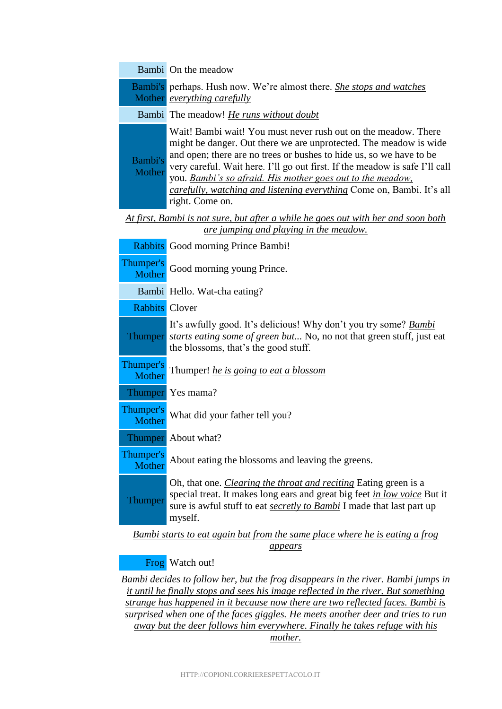|                     | Bambi On the meadow                                                                                                                                                                                                                                                                                                                                                                                                                                 |  |
|---------------------|-----------------------------------------------------------------------------------------------------------------------------------------------------------------------------------------------------------------------------------------------------------------------------------------------------------------------------------------------------------------------------------------------------------------------------------------------------|--|
|                     | <b>Bambi's</b> perhaps. Hush now. We're almost there. <i>She stops and watches</i><br>Mother everything carefully                                                                                                                                                                                                                                                                                                                                   |  |
|                     | Bambi The meadow! He runs without doubt                                                                                                                                                                                                                                                                                                                                                                                                             |  |
| Bambi's<br>Mother   | Wait! Bambi wait! You must never rush out on the meadow. There<br>might be danger. Out there we are unprotected. The meadow is wide<br>and open; there are no trees or bushes to hide us, so we have to be<br>very careful. Wait here. I'll go out first. If the meadow is safe I'll call<br>you. Bambi's so afraid. His mother goes out to the meadow,<br>carefully, watching and listening everything Come on, Bambi. It's all<br>right. Come on. |  |
|                     | At first, Bambi is not sure, but after a while he goes out with her and soon both<br>are jumping and playing in the meadow.                                                                                                                                                                                                                                                                                                                         |  |
|                     | <b>Rabbits</b> Good morning Prince Bambi!                                                                                                                                                                                                                                                                                                                                                                                                           |  |
| Thumper's<br>Mother | Good morning young Prince.                                                                                                                                                                                                                                                                                                                                                                                                                          |  |
|                     | Bambi Hello. Wat-cha eating?                                                                                                                                                                                                                                                                                                                                                                                                                        |  |
|                     | <b>Rabbits</b> Clover                                                                                                                                                                                                                                                                                                                                                                                                                               |  |
|                     | It's awfully good. It's delicious! Why don't you try some? Bambi<br><b>Thumper</b> <i>starts eating some of green but</i> No, no not that green stuff, just eat<br>the blossoms, that's the good stuff.                                                                                                                                                                                                                                             |  |
| Thumper's<br>Mother | Thumper! he is going to eat a blossom                                                                                                                                                                                                                                                                                                                                                                                                               |  |
|                     | <b>Thumper</b> Yes mama?                                                                                                                                                                                                                                                                                                                                                                                                                            |  |
| Thumper's<br>Mother | What did your father tell you?                                                                                                                                                                                                                                                                                                                                                                                                                      |  |
|                     | Thumper About what?                                                                                                                                                                                                                                                                                                                                                                                                                                 |  |
| Thumper's<br>Mother | About eating the blossoms and leaving the greens.                                                                                                                                                                                                                                                                                                                                                                                                   |  |
| Thumper             | Oh, that one. <i>Clearing the throat and reciting</i> Eating green is a<br>special treat. It makes long ears and great big feet in low voice But it<br>sure is awful stuff to eat <i>secretly to Bambi</i> I made that last part up<br>myself.                                                                                                                                                                                                      |  |
|                     | Bambi starts to eat again but from the same place where he is eating a frog                                                                                                                                                                                                                                                                                                                                                                         |  |
|                     | <u>appears</u>                                                                                                                                                                                                                                                                                                                                                                                                                                      |  |

## Frog Watch out!

*Bambi decides to follow her, but the frog disappears in the river. Bambi jumps in it until he finally stops and sees his image reflected in the river. But something strange has happened in it because now there are two reflected faces. Bambi is surprised when one of the faces giggles. He meets another deer and tries to run away but the deer follows him everywhere. Finally he takes refuge with his mother.*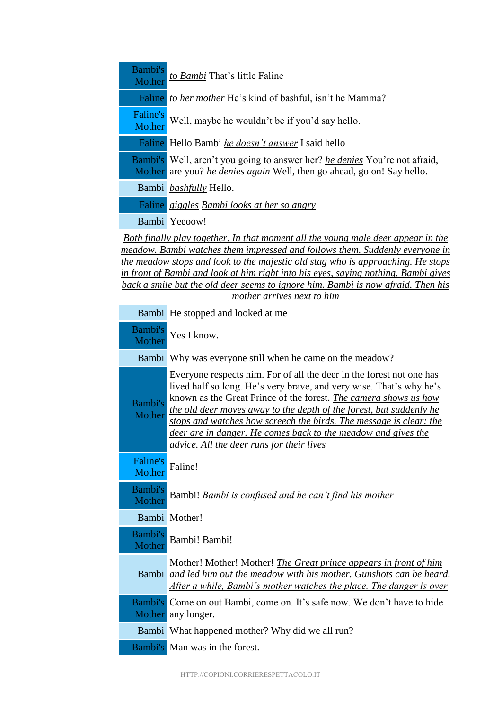| Bambi's<br>Mother         | to Bambi That's little Faline                                                                                                                               |
|---------------------------|-------------------------------------------------------------------------------------------------------------------------------------------------------------|
|                           | <b>Faline</b> to her mother He's kind of bashful, isn't he Mamma?                                                                                           |
| Faline's<br><b>Mother</b> | Well, maybe he wouldn't be if you'd say hello.                                                                                                              |
|                           | Faline Hello Bambi he doesn't answer I said hello                                                                                                           |
|                           | <b>Bambi's</b> Well, aren't you going to answer her? he denies You're not afraid,<br>Mother are you? he denies again Well, then go ahead, go on! Say hello. |
|                           | Bambi <i>bashfully</i> Hello.                                                                                                                               |
|                           | Faline giggles Bambi looks at her so angry                                                                                                                  |
|                           | Bambi Yeeoow!                                                                                                                                               |

*Both finally play together. In that moment all the young male deer appear in the meadow. Bambi watches them impressed and follows them. Suddenly everyone in the meadow stops and look to the majestic old stag who is approaching. He stops in front of Bambi and look at him right into his eyes, saying nothing. Bambi gives back a smile but the old deer seems to ignore him. Bambi is now afraid. Then his mother arrives next to him*

|                    | Bambi He stopped and looked at me                                                                                                                                                                                                                                                                                                                                                                                                                                                 |
|--------------------|-----------------------------------------------------------------------------------------------------------------------------------------------------------------------------------------------------------------------------------------------------------------------------------------------------------------------------------------------------------------------------------------------------------------------------------------------------------------------------------|
| Bambi's<br>Mother  | Yes I know.                                                                                                                                                                                                                                                                                                                                                                                                                                                                       |
|                    | Bambi Why was everyone still when he came on the meadow?                                                                                                                                                                                                                                                                                                                                                                                                                          |
| Bambi's<br>Mother  | Everyone respects him. For of all the deer in the forest not one has<br>lived half so long. He's very brave, and very wise. That's why he's<br>known as the Great Prince of the forest. <i>The camera shows us how</i><br>the old deer moves away to the depth of the forest, but suddenly he<br>stops and watches how screech the birds. The message is clear: the<br>deer are in danger. He comes back to the meadow and gives the<br>advice. All the deer runs for their lives |
| Faline's<br>Mother | Faline!                                                                                                                                                                                                                                                                                                                                                                                                                                                                           |
| Bambi's<br>Mother  | Bambi! Bambi is confused and he can't find his mother                                                                                                                                                                                                                                                                                                                                                                                                                             |
|                    | Bambi Mother!                                                                                                                                                                                                                                                                                                                                                                                                                                                                     |
| Bambi's<br>Mother  | Bambi! Bambi!                                                                                                                                                                                                                                                                                                                                                                                                                                                                     |
|                    | Mother! Mother! Mother! <i>The Great prince appears in front of him</i><br>Bambi and led him out the meadow with his mother. Gunshots can be heard.<br>After a while, Bambi's mother watches the place. The danger is over                                                                                                                                                                                                                                                        |
| Mother             | Bambi's Come on out Bambi, come on. It's safe now. We don't have to hide<br>any longer.                                                                                                                                                                                                                                                                                                                                                                                           |
|                    | Bambi What happened mother? Why did we all run?                                                                                                                                                                                                                                                                                                                                                                                                                                   |
|                    | Bambi's Man was in the forest.                                                                                                                                                                                                                                                                                                                                                                                                                                                    |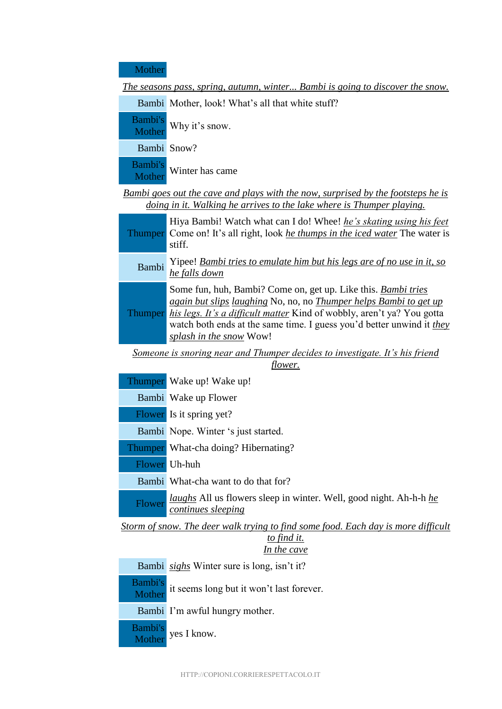Mother

*The seasons pass, spring, autumn, winter... Bambi is going to discover the snow.*

Bambi Mother, look! What's all that white stuff?

| Bambi's<br>Mother | Why it's snow.  |
|-------------------|-----------------|
|                   | Bambi Snow?     |
| Bambi's<br>Mother | Winter has came |

*Bambi goes out the cave and plays with the now, surprised by the footsteps he is doing in it. Walking he arrives to the lake where is Thumper playing.*

|                                                                             | Hiya Bambi! Watch what can I do! Whee! he's skating using his feet<br>Thumper Come on! It's all right, look <i>he thumps in the iced water</i> The water is<br>stiff.                                                                                                                                                                         |  |
|-----------------------------------------------------------------------------|-----------------------------------------------------------------------------------------------------------------------------------------------------------------------------------------------------------------------------------------------------------------------------------------------------------------------------------------------|--|
| Bambi                                                                       | Yipee! Bambi tries to emulate him but his legs are of no use in it, so<br>he falls down                                                                                                                                                                                                                                                       |  |
|                                                                             | Some fun, huh, Bambi? Come on, get up. Like this. <i>Bambi tries</i><br><i>again but slips laughing</i> No, no, no <i>Thumper helps Bambi to get up</i><br>Thumper his legs. It's a difficult matter Kind of wobbly, aren't ya? You gotta<br>watch both ends at the same time. I guess you'd better unwind it they<br>splash in the snow Wow! |  |
| Someone is snoring near and Thumper decides to investigate. It's his friend |                                                                                                                                                                                                                                                                                                                                               |  |

| Thumper Wake up! Wake up! |
|---------------------------|
| $\cdots$                  |

- Bambi Wake up Flower
- Flower Is it spring yet?
- Bambi Nope. Winter 's just started.
- Thumper What-cha doing? Hibernating?
	- Flower Uh-huh
	- Bambi What-cha want to do that for?

Flower *laughs* All us flowers sleep in winter. Well, good night. Ah-h-h *he continues sleeping*

*Storm of snow. The deer walk trying to find some food. Each day is more difficult* 

*to find it. In the cave*

Bambi *sighs* Winter sure is long, isn't it?

Bambi's Ballions<br>it seems long but it won't last forever.

Bambi I'm awful hungry mother.

Bambi's Mother yes I know.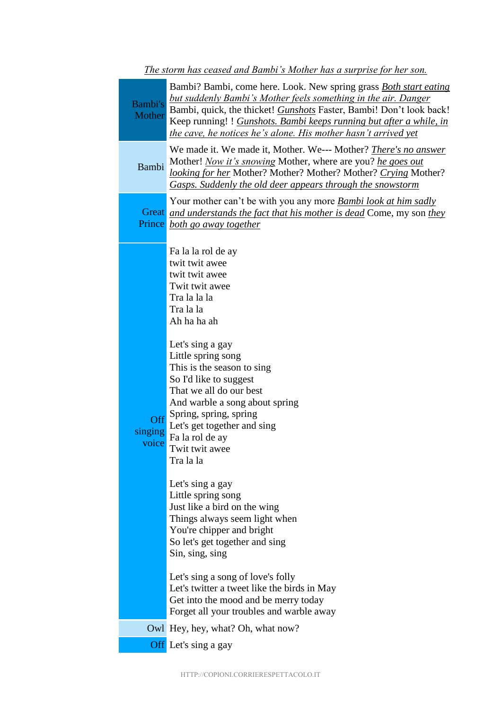*The storm has ceased and Bambi's Mother has a surprise for her son.*

| Bambi's<br>Mother                    | Bambi? Bambi, come here. Look. New spring grass <b>Both start eating</b><br>but suddenly Bambi's Mother feels something in the air. Danger<br>Bambi, quick, the thicket! Gunshots Faster, Bambi! Don't look back!<br>Keep running! ! Gunshots. Bambi keeps running but after a while, in<br>the cave, he notices he's alone. His mother hasn't arrived yet                        |
|--------------------------------------|-----------------------------------------------------------------------------------------------------------------------------------------------------------------------------------------------------------------------------------------------------------------------------------------------------------------------------------------------------------------------------------|
| Bambi                                | We made it. We made it, Mother. We--- Mother? <i>There's no answer</i><br>Mother! Now it's snowing Mother, where are you? he goes out<br>looking for her Mother? Mother? Mother? Mother? Crying Mother?<br>Gasps. Suddenly the old deer appears through the snowstorm                                                                                                             |
|                                      | Your mother can't be with you any more <i>Bambi look at him sadly</i><br>Great and understands the fact that his mother is dead Come, my son they<br>Prince both go away together                                                                                                                                                                                                 |
| $\overline{Off}$<br>singing<br>voice | Fa la la rol de ay<br>twit twit awee<br>twit twit awee<br>Twit twit awee<br>Tra la la la<br>Tra la la<br>Ah ha ha ah<br>Let's sing a gay<br>Little spring song<br>This is the season to sing<br>So I'd like to suggest<br>That we all do our best<br>And warble a song about spring<br>Spring, spring, spring<br>Let's get together and sing<br>Fa la rol de ay<br>Twit twit awee |
|                                      | Tra la la<br>Let's sing a gay<br>Little spring song<br>Just like a bird on the wing<br>Things always seem light when<br>You're chipper and bright<br>So let's get together and sing<br>Sin, sing, sing<br>Let's sing a song of love's folly                                                                                                                                       |
|                                      | Let's twitter a tweet like the birds in May<br>Get into the mood and be merry today<br>Forget all your troubles and warble away                                                                                                                                                                                                                                                   |
|                                      | Owl Hey, hey, what? Oh, what now?                                                                                                                                                                                                                                                                                                                                                 |
|                                      | <b>Off</b> Let's sing a gay                                                                                                                                                                                                                                                                                                                                                       |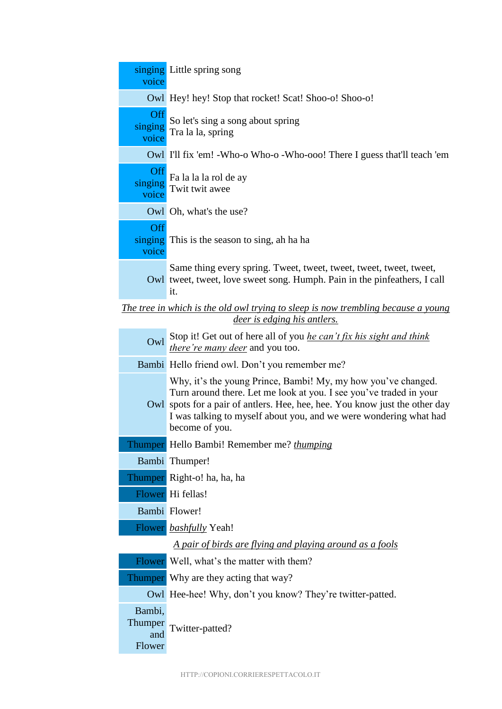| voice            | singing Little spring song                                                                                                                             |
|------------------|--------------------------------------------------------------------------------------------------------------------------------------------------------|
|                  | Owl Hey! hey! Stop that rocket! Scat! Shoo-o! Shoo-o!                                                                                                  |
| singing<br>voice | So let's sing a song about spring<br>Tra la la, spring                                                                                                 |
|                  | Owl I'll fix 'em! -Who-o Who-o -Who-ooo! There I guess that'll teach 'em                                                                               |
| singing<br>voice | Fa la la la rol de ay<br>Twit twit awee                                                                                                                |
|                  | Owl Oh, what's the use?                                                                                                                                |
| Off<br>voice     | singing This is the season to sing, ah ha ha                                                                                                           |
|                  | Same thing every spring. Tweet, tweet, tweet, tweet, tweet, tweet,<br>Owl tweet, tweet, love sweet song. Humph. Pain in the pinfeathers, I call<br>it. |

*The tree in which is the old owl trying to sleep is now trembling because a young deer is edging his antlers.*

Owl Stop it! Get out of here all of you *he can't fix his sight and think there're many deer* and you too.

Bambi Hello friend owl. Don't you remember me?

Why, it's the young Prince, Bambi! My, my how you've changed. Turn around there. Let me look at you. I see you've traded in your

- Owl spots for a pair of antlers. Hee, hee, hee. You know just the other day I was talking to myself about you, and we were wondering what had become of you.
- Thumper Hello Bambi! Remember me? *thumping*
	- Bambi Thumper!
- Thumper Right-o! ha, ha, ha
	- Flower Hi fellas!
	- Bambi Flower!
	- Flower *bashfully* Yeah!

## *A pair of birds are flying and playing around as a fools*

|                  | Flower Well, what's the matter with them?                 |
|------------------|-----------------------------------------------------------|
|                  | <b>Thumper</b> Why are they acting that way?              |
|                  | Owl Hee-hee! Why, don't you know? They're twitter-patted. |
| Bambi,<br>Flower | Thumper<br>and Twitter-patted?                            |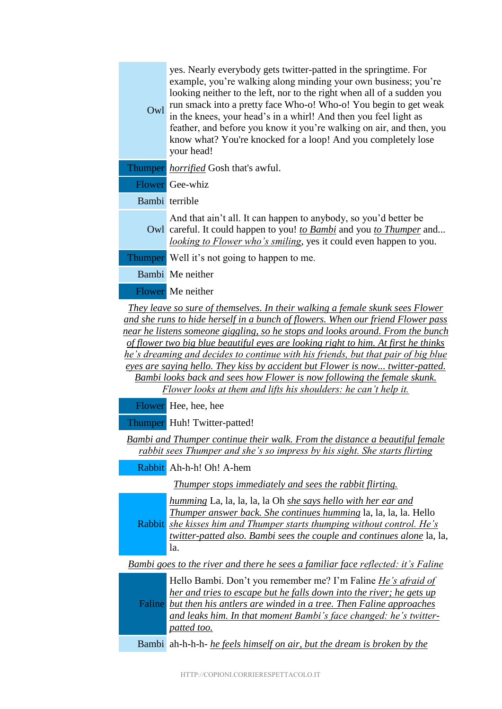| Owl | yes. Nearly everybody gets twitter-patted in the springtime. For<br>example, you're walking along minding your own business; you're<br>looking neither to the left, nor to the right when all of a sudden you<br>run smack into a pretty face Who-o! Who-o! You begin to get weak<br>in the knees, your head's in a whirl! And then you feel light as<br>feather, and before you know it you're walking on air, and then, you<br>know what? You're knocked for a loop! And you completely lose<br>your head! |  |
|-----|--------------------------------------------------------------------------------------------------------------------------------------------------------------------------------------------------------------------------------------------------------------------------------------------------------------------------------------------------------------------------------------------------------------------------------------------------------------------------------------------------------------|--|
|     | <b>Thumper</b> <i>horrified</i> Gosh that's awful.                                                                                                                                                                                                                                                                                                                                                                                                                                                           |  |
|     | Flower Gee-whiz                                                                                                                                                                                                                                                                                                                                                                                                                                                                                              |  |
|     | Bambi terrible                                                                                                                                                                                                                                                                                                                                                                                                                                                                                               |  |
|     | And that ain't all. It can happen to anybody, so you'd better be<br>Owl careful. It could happen to you! to Bambi and you to Thumper and<br><i>looking to Flower who's smiling</i> , yes it could even happen to you.                                                                                                                                                                                                                                                                                        |  |
|     | Thumper Well it's not going to happen to me.                                                                                                                                                                                                                                                                                                                                                                                                                                                                 |  |
|     | Bambi Me neither                                                                                                                                                                                                                                                                                                                                                                                                                                                                                             |  |
|     | Flower Me neither                                                                                                                                                                                                                                                                                                                                                                                                                                                                                            |  |
|     |                                                                                                                                                                                                                                                                                                                                                                                                                                                                                                              |  |

*They leave so sure of themselves. In their walking a female skunk sees Flower and she runs to hide herself in a bunch of flowers. When our friend Flower pass near he listens someone giggling, so he stops and looks around. From the bunch of flower two big blue beautiful eyes are looking right to him. At first he thinks he's dreaming and decides to continue with his friends, but that pair of big blue eyes are saying hello. They kiss by accident but Flower is now... twitter-patted. Bambi looks back and sees how Flower is now following the female skunk. Flower looks at them and lifts his shoulders: he can't help it.*

Flower Hee, hee, hee

Thumper Huh! Twitter-patted!

*Bambi and Thumper continue their walk. From the distance a beautiful female rabbit sees Thumper and she's so impress by his sight. She starts flirting*

Rabbit Ah-h-h! Oh! A-hem

*Thumper stops immediately and sees the rabbit flirting.*

Rabbit *she kisses him and Thumper starts thumping without control. He's humming* La, la, la, la, la Oh *she says hello with her ear and Thumper answer back. She continues humming* la, la, la, la. Hello *twitter-patted also. Bambi sees the couple and continues alone* la, la, la.

*Bambi goes to the river and there he sees a familiar face reflected: it's Faline*

Faline *but then his antlers are winded in a tree. Then Faline approaches*  Hello Bambi. Don't you remember me? I'm Faline *He's afraid of her and tries to escape but he falls down into the river; he gets up and leaks him. In that moment Bambi's face changed: he's twitterpatted too.*

Bambi ah-h-h-h- *he feels himself on air, but the dream is broken by the*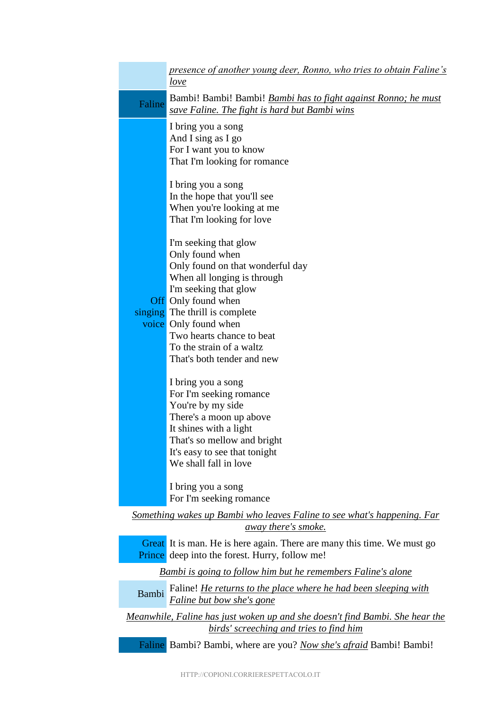|                                                                                                              | presence of another young deer, Ronno, who tries to obtain Faline's<br><u>love</u>                                                                                                                               |  |  |
|--------------------------------------------------------------------------------------------------------------|------------------------------------------------------------------------------------------------------------------------------------------------------------------------------------------------------------------|--|--|
| Faline                                                                                                       | Bambi! Bambi! Bambi! Bambi has to fight against Ronno; he must<br>save Faline. The fight is hard but Bambi wins                                                                                                  |  |  |
|                                                                                                              | I bring you a song<br>And I sing as I go<br>For I want you to know<br>That I'm looking for romance                                                                                                               |  |  |
|                                                                                                              | I bring you a song<br>In the hope that you'll see<br>When you're looking at me<br>That I'm looking for love                                                                                                      |  |  |
|                                                                                                              | I'm seeking that glow<br>Only found when<br>Only found on that wonderful day<br>When all longing is through                                                                                                      |  |  |
|                                                                                                              | I'm seeking that glow<br><b>Off</b> Only found when<br>singing The thrill is complete<br>voice Only found when<br>Two hearts chance to beat<br>To the strain of a waltz<br>That's both tender and new            |  |  |
|                                                                                                              | I bring you a song<br>For I'm seeking romance<br>You're by my side<br>There's a moon up above<br>It shines with a light<br>That's so mellow and bright<br>It's easy to see that tonight<br>We shall fall in love |  |  |
|                                                                                                              | I bring you a song<br>For I'm seeking romance                                                                                                                                                                    |  |  |
| <u>Something wakes up Bambi who leaves Faline to see what's happening. Far</u><br><u>away</u> there's smoke. |                                                                                                                                                                                                                  |  |  |
|                                                                                                              | Great It is man. He is here again. There are many this time. We must go                                                                                                                                          |  |  |
|                                                                                                              | <b>Prince</b> deep into the forest. Hurry, follow me!                                                                                                                                                            |  |  |

*Bambi is going to follow him but he remembers Faline's alone*

Bambi Faline! *He returns to the place where he had been sleeping with Faline but bow she's gone*

*Meanwhile, Faline has just woken up and she doesn't find Bambi. She hear the birds' screeching and tries to find him*

Faline Bambi? Bambi, where are you? *Now she's afraid* Bambi! Bambi!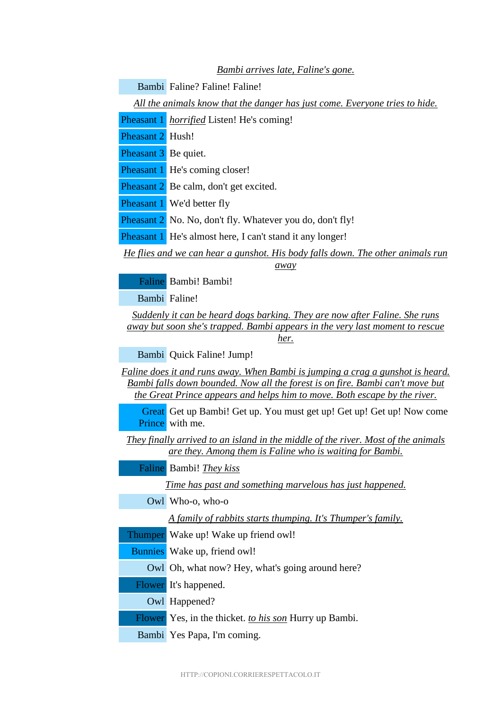## *Bambi arrives late, Faline's gone.*

Bambi Faline? Faline! Faline!

*All the animals know that the danger has just come. Everyone tries to hide.*

Pheasant 1 *horrified* Listen! He's coming!

Pheasant 2 Hush!

Pheasant 3 Be quiet.

Pheasant 1 He's coming closer!

Pheasant 2 Be calm, don't get excited.

Pheasant 1 We'd better fly

Pheasant 2 No. No, don't fly. Whatever you do, don't fly!

Pheasant 1 He's almost here, I can't stand it any longer!

*He flies and we can hear a gunshot. His body falls down. The other animals run* 

*away*

Faline Bambi! Bambi!

Bambi Faline!

*Suddenly it can be heard dogs barking. They are now after Faline. She runs away but soon she's trapped. Bambi appears in the very last moment to rescue her.*

Bambi Quick Faline! Jump!

*Faline does it and runs away. When Bambi is jumping a crag a gunshot is heard. Bambi falls down bounded. Now all the forest is on fire. Bambi can't move but the Great Prince appears and helps him to move. Both escape by the river.*

Great Get up Bambi! Get up. You must get up! Get up! Get up! Now come Prince with me.

*They finally arrived to an island in the middle of the river. Most of the animals are they. Among them is Faline who is waiting for Bambi.*

Faline Bambi! *They kiss*

*Time has past and something marvelous has just happened.*

Owl Who-o, who-o

*A family of rabbits starts thumping. It's Thumper's family.*

Thumper Wake up! Wake up friend owl!

Bunnies Wake up, friend owl!

Owl Oh, what now? Hey, what's going around here?

Flower It's happened.

Owl Happened?

Flower Yes, in the thicket. *to his son* Hurry up Bambi.

Bambi Yes Papa, I'm coming.